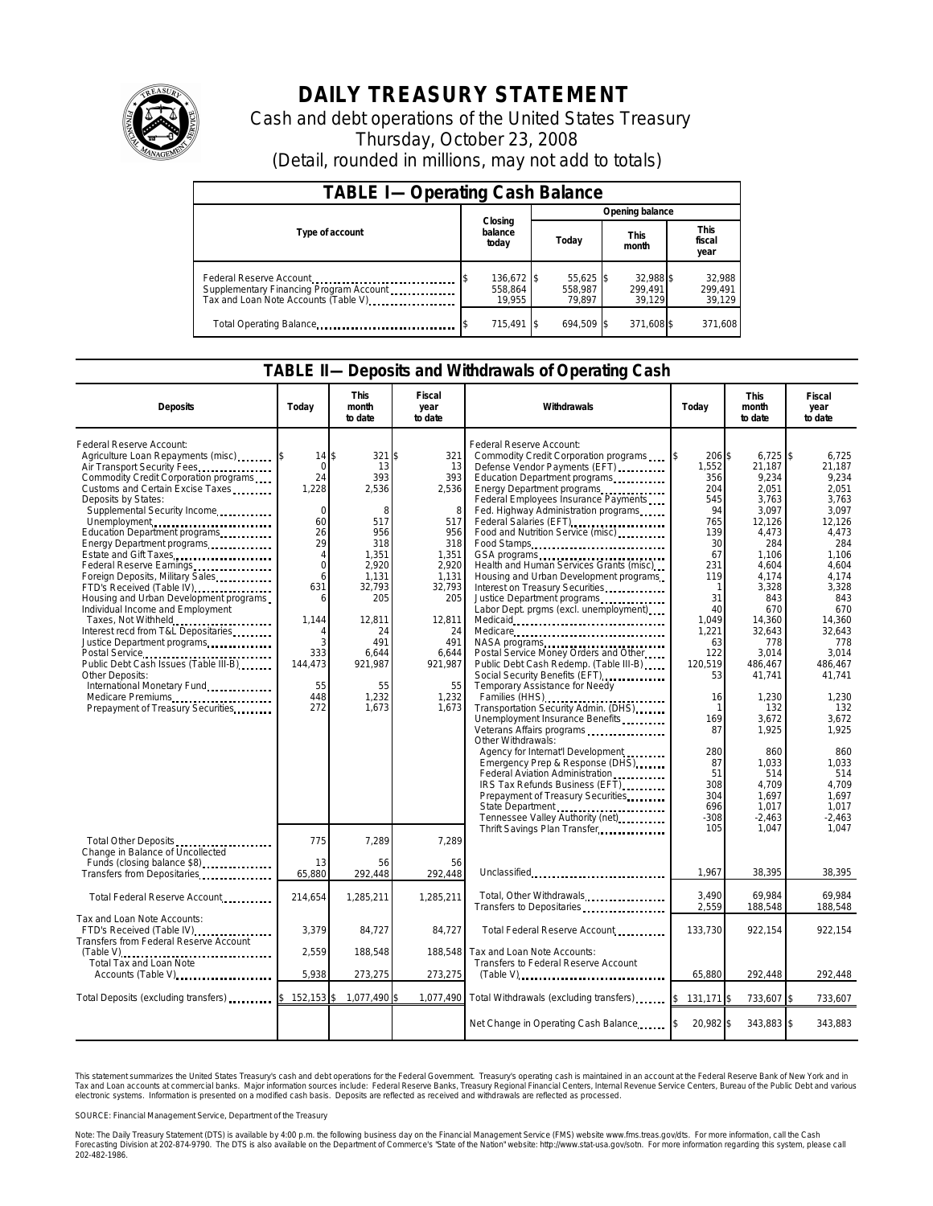

# **DAILY TREASURY STATEMENT**

Cash and debt operations of the United States Treasury Thursday, October 23, 2008 (Detail, rounded in millions, may not add to totals)

| <b>TABLE I-Operating Cash Balance</b>                                                                      |                                 |                                  |                                |                               |  |  |  |
|------------------------------------------------------------------------------------------------------------|---------------------------------|----------------------------------|--------------------------------|-------------------------------|--|--|--|
|                                                                                                            | Opening balance<br>Closing      |                                  |                                |                               |  |  |  |
| Type of account                                                                                            | balance<br>today                | Today                            | <b>This</b><br>month           | <b>This</b><br>fiscal<br>year |  |  |  |
| Federal Reserve Account<br>Supplementary Financing Program Account<br>Tax and Loan Note Accounts (Table V) | 136,672 \$<br>558.864<br>19.955 | $55.625$ \$<br>558.987<br>79.897 | 32.988 \$<br>299.491<br>39.129 | 32,988<br>299.491<br>39,129   |  |  |  |
| Total Operating Balance                                                                                    | 715.491                         | 694.509 \$                       | 371,608 \$                     | 371,608                       |  |  |  |

#### **TABLE II—Deposits and Withdrawals of Operating Cash**

| <b>Deposits</b>                                                                                                                                                                                                                                                                                                                                                                                                                                                                                                                                                                                                                                                                                                                                                          | Todav                                                                                                                                                                              | <b>This</b><br>month<br>to date                                                                                                                                       | Fiscal<br>year<br>to date                                                                                                                                          | Withdrawals                                                                                                                                                                                                                                                                                                                                                                                                                                                                                                                                                                                                                                                                                                                                                                                                                                                                                                                                                                                                  | Today                                                                                                                                                                                                                | <b>This</b><br>month<br>to date                                                                                                                                                                                                                                                   | <b>Fiscal</b><br>year<br>to date                                                                                                                                                                                                                                             |
|--------------------------------------------------------------------------------------------------------------------------------------------------------------------------------------------------------------------------------------------------------------------------------------------------------------------------------------------------------------------------------------------------------------------------------------------------------------------------------------------------------------------------------------------------------------------------------------------------------------------------------------------------------------------------------------------------------------------------------------------------------------------------|------------------------------------------------------------------------------------------------------------------------------------------------------------------------------------|-----------------------------------------------------------------------------------------------------------------------------------------------------------------------|--------------------------------------------------------------------------------------------------------------------------------------------------------------------|--------------------------------------------------------------------------------------------------------------------------------------------------------------------------------------------------------------------------------------------------------------------------------------------------------------------------------------------------------------------------------------------------------------------------------------------------------------------------------------------------------------------------------------------------------------------------------------------------------------------------------------------------------------------------------------------------------------------------------------------------------------------------------------------------------------------------------------------------------------------------------------------------------------------------------------------------------------------------------------------------------------|----------------------------------------------------------------------------------------------------------------------------------------------------------------------------------------------------------------------|-----------------------------------------------------------------------------------------------------------------------------------------------------------------------------------------------------------------------------------------------------------------------------------|------------------------------------------------------------------------------------------------------------------------------------------------------------------------------------------------------------------------------------------------------------------------------|
| Federal Reserve Account:<br>Agriculture Loan Repayments (misc)<br>Air Transport Security Fees<br>Commodity Credit Corporation programs<br>Customs and Certain Excise Taxes<br>Deposits by States:<br>Supplemental Security Income<br>Unemployment<br>Education Department programs<br>Energy Department programs<br>Estate and Gift Taxes<br>Federal Reserve Earnings.<br>Foreign Deposits, Military Sales<br>FTD's Received (Table IV)<br>Housing and Urban Development programs<br>Individual Income and Employment<br>Taxes, Not Withheld<br>Interest recd from T&L Depositaries<br>Justice Department programs<br>Public Debt Cash Issues (Table III-B)<br>Other Deposits:<br>International Monetary Fund<br>Medicare Premiums<br>Prepayment of Treasury Securities. | $14$ \\$<br>$\mathbf 0$<br>24<br>1,228<br>$\Omega$<br>60<br>26<br>29<br>4<br>$\overline{0}$<br>6<br>631<br>6<br>1,144<br>$\overline{A}$<br>3<br>333<br>144,473<br>55<br>448<br>272 | 321 \$<br>13<br>393<br>2,536<br>8<br>517<br>956<br>318<br>1,351<br>2,920<br>1,131<br>32,793<br>205<br>12,811<br>24<br>491<br>6,644<br>921,987<br>55<br>1,232<br>1.673 | 321<br>13<br>393<br>2,536<br>8<br>517<br>956<br>318<br>1,351<br>2,920<br>1,131<br>32,793<br>205<br>12,811<br>24<br>491<br>6,644<br>921,987<br>55<br>1,232<br>1.673 | Federal Reserve Account:<br>Commodity Credit Corporation programs<br>Defense Vendor Payments (EFT)<br>Education Department programs<br>Energy Department programs<br>Federal Employees Insurance Payments<br>Fed. Highway Administration programs<br>Food and Nutrition Service (misc)<br>Food Stamps<br>Health and Human Services Grants (misc)<br>Housing and Urban Development programs<br>Interest on Treasury Securities<br>Justice Department programs<br>Labor Dept. prgms (excl. unemployment).<br>Medicare<br>Postal Service Money Orders and Other<br>Public Debt Cash Redemp. (Table III-B)<br>Social Security Benefits (EFT)<br>Temporary Assistance for Needy<br>Families (HHS)<br>Transportation Security Admin. (DHS)<br>Unemployment Insurance Benefits<br>Veterans Affairs programs<br>Other Withdrawals:<br>Agency for Internat'l Development<br>Emergency Prep & Response (DHS)<br>Federal Aviation Administration<br>IRS Tax Refunds Business (EFT)<br>Prepayment of Treasury Securities | 206 \$<br>1,552<br>356<br>204<br>545<br>94<br>765<br>139<br>30<br>67<br>231<br>119<br>1<br>31<br>40<br>1,049<br>1,221<br>63<br>122<br>120,519<br>53<br>16<br>-1<br>169<br>87<br>280<br>87<br>51<br>308<br>304<br>696 | $6,725$ \$<br>21,187<br>9,234<br>2,051<br>3,763<br>3,097<br>12,126<br>4,473<br>284<br>1,106<br>4,604<br>4,174<br>3,328<br>843<br>670<br>14,360<br>32,643<br>778<br>3,014<br>486,467<br>41.741<br>1,230<br>132<br>3,672<br>1,925<br>860<br>1,033<br>514<br>4,709<br>1,697<br>1,017 | 6,725<br>21,187<br>9.234<br>2,051<br>3,763<br>3,097<br>12,126<br>4,473<br>284<br>1,106<br>4,604<br>4.174<br>3,328<br>843<br>670<br>14,360<br>32.643<br>778<br>3,014<br>486.467<br>41.741<br>1,230<br>132<br>3,672<br>1,925<br>860<br>1,033<br>514<br>4,709<br>1.697<br>1.017 |
| Total Other Deposits<br>Change in Balance of Uncollected<br>Funds (closing balance \$8)                                                                                                                                                                                                                                                                                                                                                                                                                                                                                                                                                                                                                                                                                  | 775<br>13                                                                                                                                                                          | 7,289<br>56                                                                                                                                                           | 7,289<br>56                                                                                                                                                        | Tennessee Valley Authority (net)<br>Thrift Savings Plan Transfer                                                                                                                                                                                                                                                                                                                                                                                                                                                                                                                                                                                                                                                                                                                                                                                                                                                                                                                                             | $-308$<br>105                                                                                                                                                                                                        | $-2,463$<br>1,047                                                                                                                                                                                                                                                                 | $-2,463$<br>1,047                                                                                                                                                                                                                                                            |
| Transfers from Depositaries                                                                                                                                                                                                                                                                                                                                                                                                                                                                                                                                                                                                                                                                                                                                              | 65,880                                                                                                                                                                             | 292.448                                                                                                                                                               | 292,448                                                                                                                                                            | Unclassified                                                                                                                                                                                                                                                                                                                                                                                                                                                                                                                                                                                                                                                                                                                                                                                                                                                                                                                                                                                                 | 1,967                                                                                                                                                                                                                | 38,395                                                                                                                                                                                                                                                                            | 38,395                                                                                                                                                                                                                                                                       |
| Total Federal Reserve Account                                                                                                                                                                                                                                                                                                                                                                                                                                                                                                                                                                                                                                                                                                                                            | 214,654                                                                                                                                                                            | 1,285,211                                                                                                                                                             | 1,285,211                                                                                                                                                          | Total, Other Withdrawals<br>Transfers to Depositaries                                                                                                                                                                                                                                                                                                                                                                                                                                                                                                                                                                                                                                                                                                                                                                                                                                                                                                                                                        | 3.490<br>2,559                                                                                                                                                                                                       | 69.984<br>188,548                                                                                                                                                                                                                                                                 | 69.984<br>188,548                                                                                                                                                                                                                                                            |
| Tax and Loan Note Accounts:<br>FTD's Received (Table IV)<br>Transfers from Federal Reserve Account                                                                                                                                                                                                                                                                                                                                                                                                                                                                                                                                                                                                                                                                       | 3,379                                                                                                                                                                              | 84,727                                                                                                                                                                | 84,727                                                                                                                                                             | Total Federal Reserve Account.                                                                                                                                                                                                                                                                                                                                                                                                                                                                                                                                                                                                                                                                                                                                                                                                                                                                                                                                                                               | 133,730                                                                                                                                                                                                              | 922,154                                                                                                                                                                                                                                                                           | 922,154                                                                                                                                                                                                                                                                      |
| $(Table V), \ldots, \ldots, \ldots, \ldots, \ldots, \ldots, \ldots, \ldots$<br>Total Tax and Loan Note<br>Accounts (Table V)                                                                                                                                                                                                                                                                                                                                                                                                                                                                                                                                                                                                                                             | 2,559<br>5,938                                                                                                                                                                     | 188,548<br>273,275                                                                                                                                                    | 188,548<br>273,275                                                                                                                                                 | Tax and Loan Note Accounts:<br>Transfers to Federal Reserve Account<br>$(Table V)$                                                                                                                                                                                                                                                                                                                                                                                                                                                                                                                                                                                                                                                                                                                                                                                                                                                                                                                           | 65,880                                                                                                                                                                                                               | 292,448                                                                                                                                                                                                                                                                           | 292,448                                                                                                                                                                                                                                                                      |
|                                                                                                                                                                                                                                                                                                                                                                                                                                                                                                                                                                                                                                                                                                                                                                          |                                                                                                                                                                                    |                                                                                                                                                                       |                                                                                                                                                                    |                                                                                                                                                                                                                                                                                                                                                                                                                                                                                                                                                                                                                                                                                                                                                                                                                                                                                                                                                                                                              |                                                                                                                                                                                                                      |                                                                                                                                                                                                                                                                                   |                                                                                                                                                                                                                                                                              |
| Total Deposits (excluding transfers)                                                                                                                                                                                                                                                                                                                                                                                                                                                                                                                                                                                                                                                                                                                                     | 152,153<br>\$                                                                                                                                                                      | 1,077,490                                                                                                                                                             | 1,077,490                                                                                                                                                          | Total Withdrawals (excluding transfers)                                                                                                                                                                                                                                                                                                                                                                                                                                                                                                                                                                                                                                                                                                                                                                                                                                                                                                                                                                      | 131,171 \$                                                                                                                                                                                                           | 733,607 \$                                                                                                                                                                                                                                                                        | 733,607                                                                                                                                                                                                                                                                      |
|                                                                                                                                                                                                                                                                                                                                                                                                                                                                                                                                                                                                                                                                                                                                                                          |                                                                                                                                                                                    |                                                                                                                                                                       |                                                                                                                                                                    | Net Change in Operating Cash Balance                                                                                                                                                                                                                                                                                                                                                                                                                                                                                                                                                                                                                                                                                                                                                                                                                                                                                                                                                                         | 20.982 \$                                                                                                                                                                                                            | 343,883 \$                                                                                                                                                                                                                                                                        | 343.883                                                                                                                                                                                                                                                                      |

This statement summarizes the United States Treasury's cash and debt operations for the Federal Government. Treasury's operating cash is maintained in an account at the Federal Reserve Bank of New York and in<br>Tax and Loan narizes the United States Treasury's cash and debt operations for the Federal Government. Treasury's operating cash is maintained in an account at the Federal Reserve Bank of New York and in<br>nts at commercial banks. Major

SOURCE: Financial Management Service, Department of the Treasury

Note: The Daily Treasury Statement (DTS) is available by 4:00 p.m. the following business day on the Financial Management Service (FMS) website www.fms.treas.gov/dts.<br>Forecasting Division at 202-874-9790. The DTS is also a 'S) is available by 4:00 p.m. the following business day on the Financial Management Service (FMS) website www.fms.treas.gov/dts. For more information, call the Cash<br>The DTS is also available on the Department of Commerce'